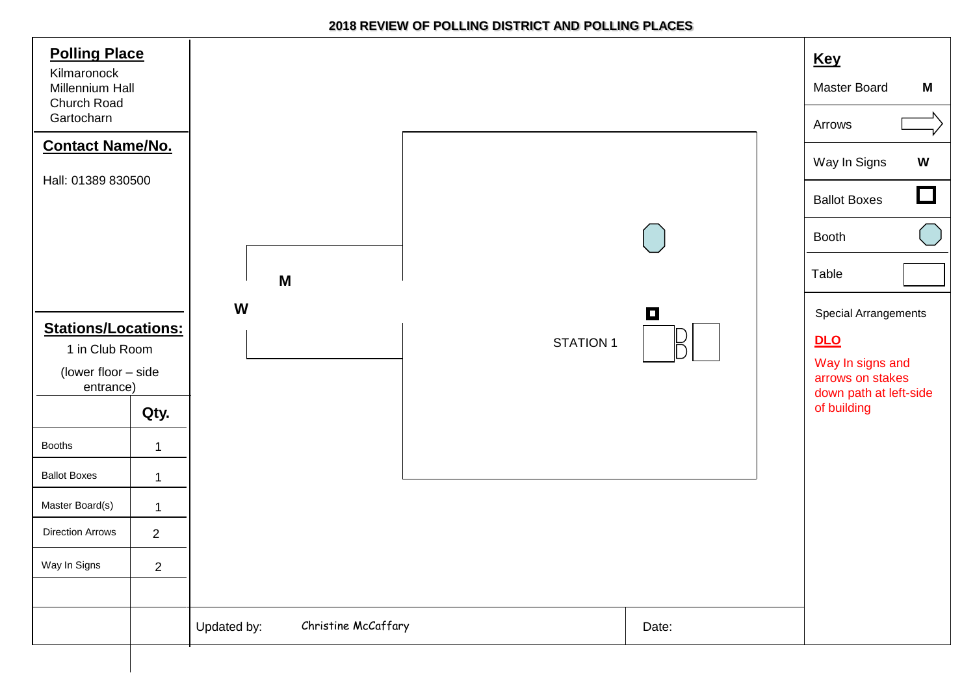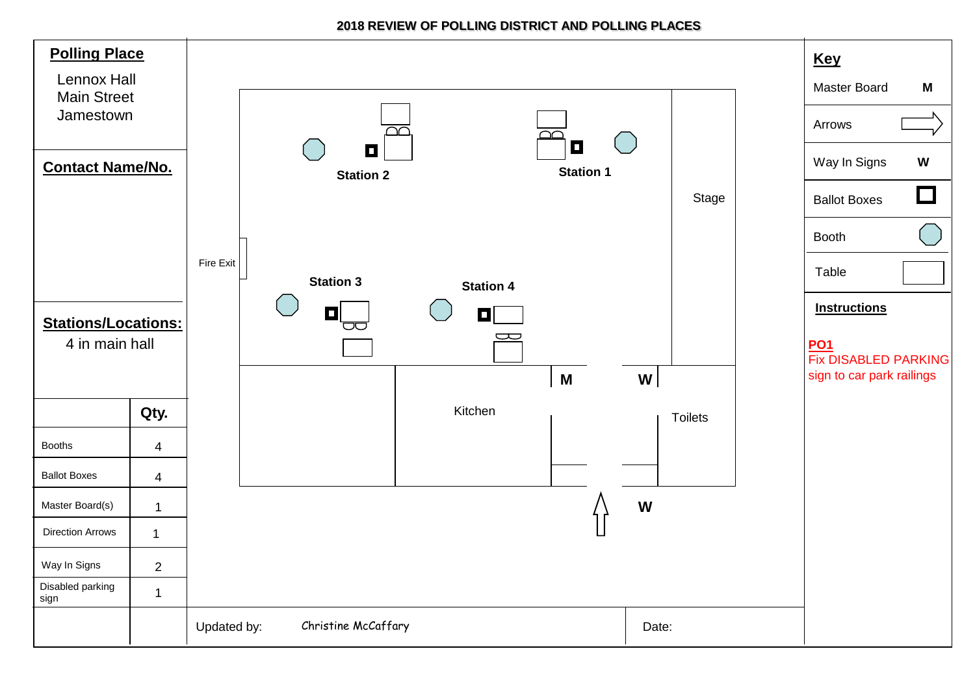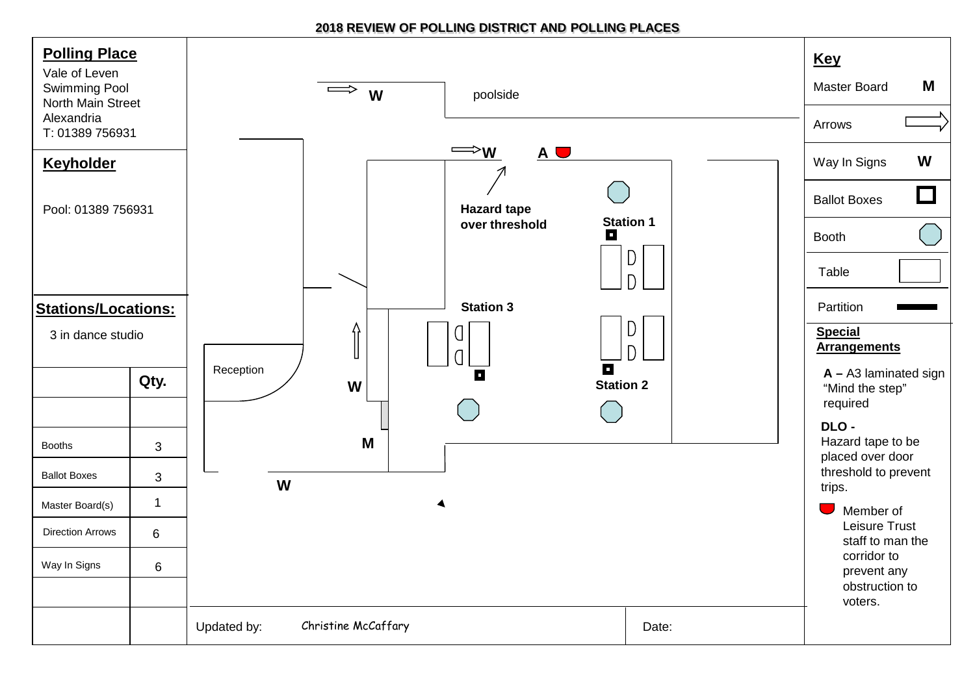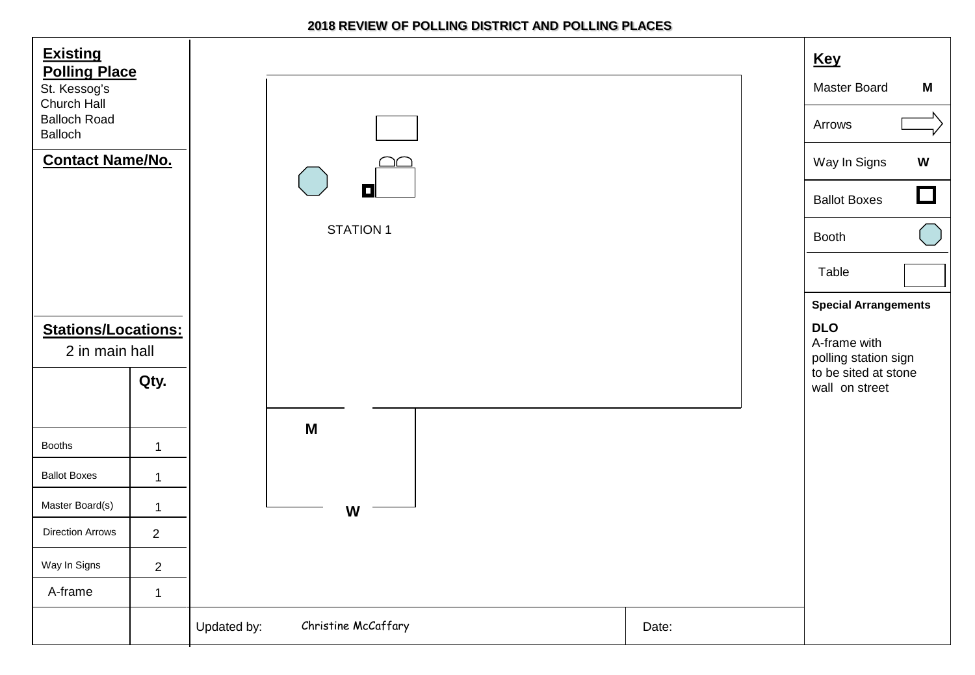| <b>Existing</b><br><b>Polling Place</b><br>St. Kessog's<br>Church Hall<br><b>Balloch Road</b><br>Balloch<br><b>Contact Name/No.</b> |                | П<br><b>STATION 1</b>              |       | <b>Key</b><br><b>Master Board</b><br>M<br>Arrows<br>Way In Signs<br>$\boldsymbol{\mathsf{W}}$<br>$\Box$<br><b>Ballot Boxes</b><br>Booth<br>Table<br><b>Special Arrangements</b> |
|-------------------------------------------------------------------------------------------------------------------------------------|----------------|------------------------------------|-------|---------------------------------------------------------------------------------------------------------------------------------------------------------------------------------|
| <b>Stations/Locations:</b>                                                                                                          |                |                                    |       | <b>DLO</b>                                                                                                                                                                      |
| 2 in main hall                                                                                                                      |                |                                    |       | A-frame with<br>polling station sign                                                                                                                                            |
|                                                                                                                                     | Qty.           |                                    |       | to be sited at stone<br>wall on street                                                                                                                                          |
|                                                                                                                                     |                | M                                  |       |                                                                                                                                                                                 |
| <b>Booths</b>                                                                                                                       | $\mathbf 1$    |                                    |       |                                                                                                                                                                                 |
| <b>Ballot Boxes</b>                                                                                                                 | $\mathbf{1}$   |                                    |       |                                                                                                                                                                                 |
| Master Board(s)                                                                                                                     | $\mathbf 1$    | W                                  |       |                                                                                                                                                                                 |
| <b>Direction Arrows</b>                                                                                                             | $\overline{2}$ |                                    |       |                                                                                                                                                                                 |
| Way In Signs                                                                                                                        | $\overline{2}$ |                                    |       |                                                                                                                                                                                 |
| A-frame                                                                                                                             | $\mathbf{1}$   |                                    |       |                                                                                                                                                                                 |
|                                                                                                                                     |                | Christine McCaffary<br>Updated by: | Date: |                                                                                                                                                                                 |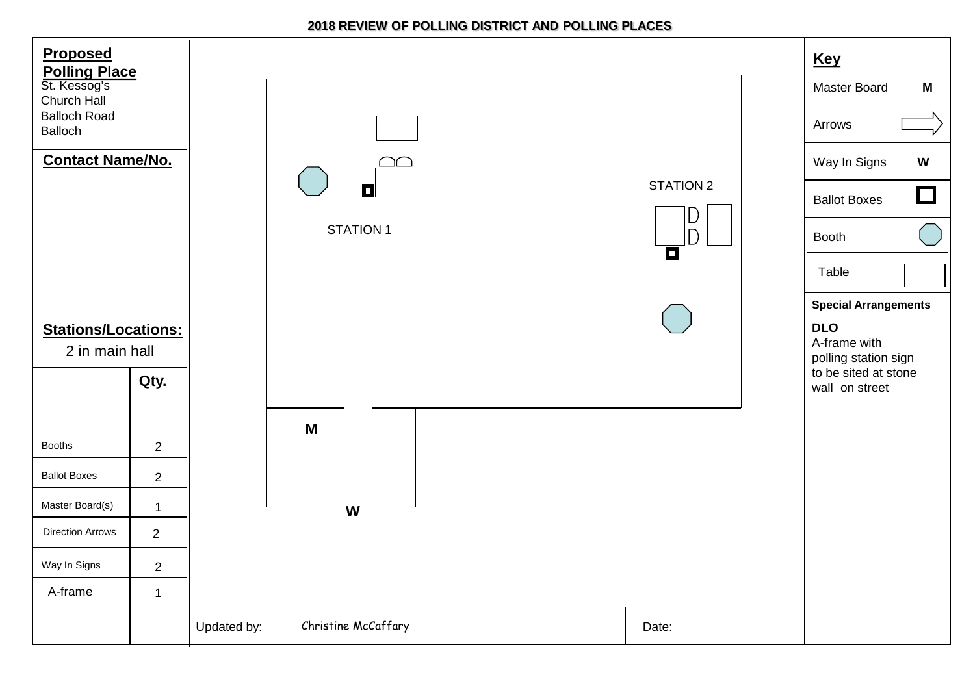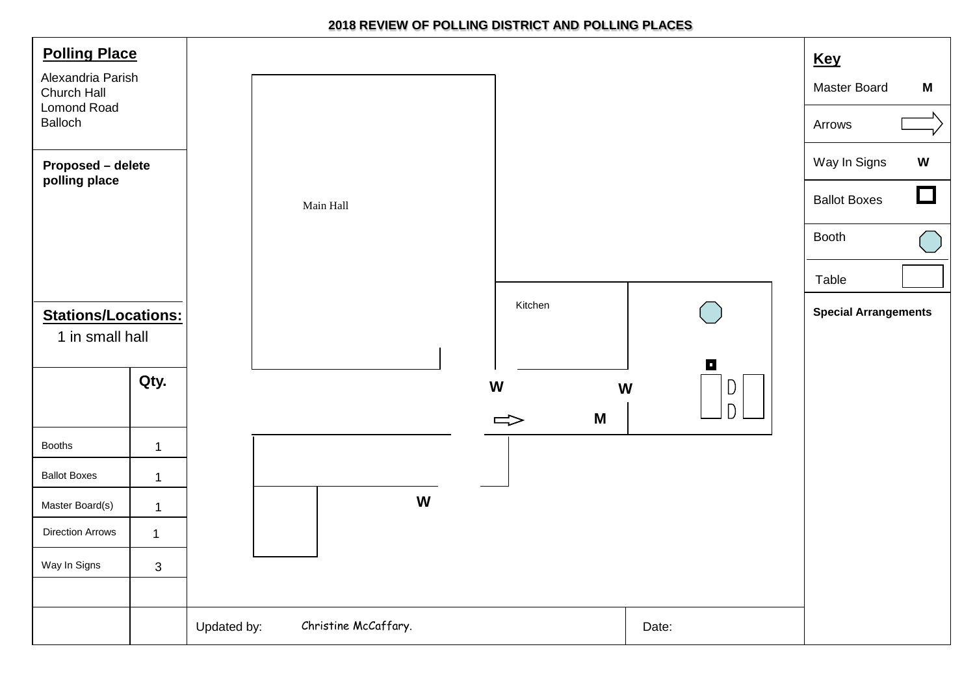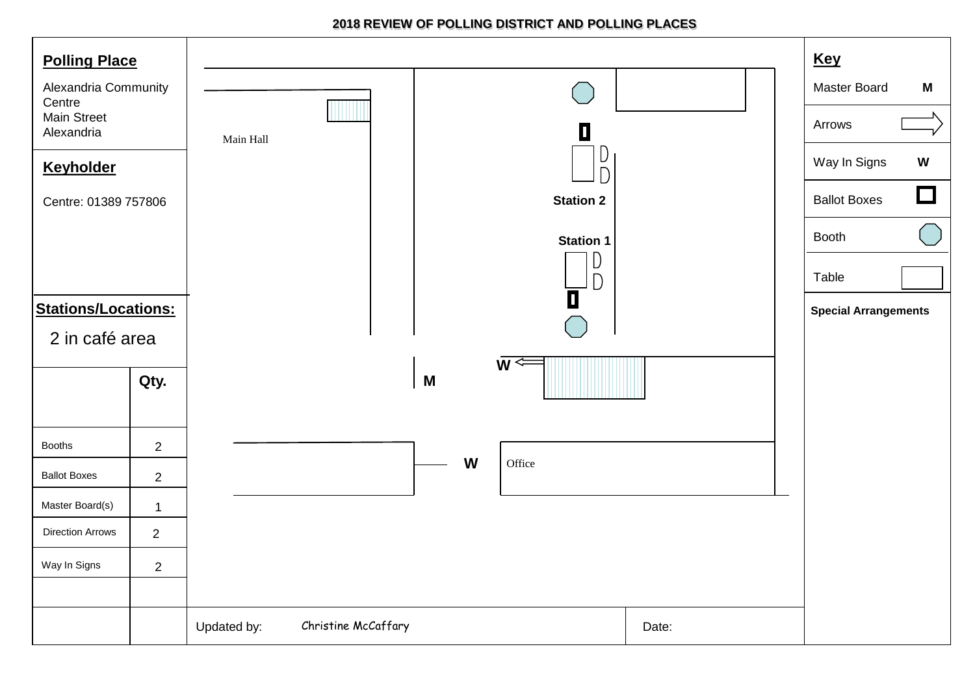| <b>Polling Place</b>             |                |             |                     |   |                  |       | <b>Key</b>                                              |
|----------------------------------|----------------|-------------|---------------------|---|------------------|-------|---------------------------------------------------------|
| Alexandria Community<br>Centre   |                |             |                     |   |                  |       | Master Board<br>M                                       |
| <b>Main Street</b><br>Alexandria |                | Main Hall   |                     |   | О                |       | Arrows                                                  |
| <b>Keyholder</b>                 |                |             |                     |   | D<br>$\Box$      |       | Way In Signs<br>W                                       |
| Centre: 01389 757806             |                |             |                     |   | <b>Station 2</b> |       | $\Box$<br><b>Ballot Boxes</b>                           |
|                                  |                |             |                     |   | <b>Station 1</b> |       | $\begin{pmatrix} 1 & 1 \\ 1 & 1 \end{pmatrix}$<br>Booth |
|                                  |                |             |                     |   | D<br>$\bigcap$   |       | Table                                                   |
| <b>Stations/Locations:</b>       |                |             |                     |   | $\blacksquare$   |       | <b>Special Arrangements</b>                             |
| 2 in café area                   |                |             |                     |   |                  |       |                                                         |
|                                  | Qty.           |             |                     | M | $\overline{w}$   |       |                                                         |
|                                  |                |             |                     |   |                  |       |                                                         |
| <b>Booths</b>                    | $\overline{2}$ |             |                     |   |                  |       |                                                         |
| <b>Ballot Boxes</b>              | $\sqrt{2}$     |             |                     | W | Office           |       |                                                         |
| Master Board(s)                  | $\mathbf{1}$   |             |                     |   |                  |       |                                                         |
| <b>Direction Arrows</b>          | $\overline{2}$ |             |                     |   |                  |       |                                                         |
| Way In Signs                     | $\overline{2}$ |             |                     |   |                  |       |                                                         |
|                                  |                |             |                     |   |                  |       |                                                         |
|                                  |                | Updated by: | Christine McCaffary |   |                  | Date: |                                                         |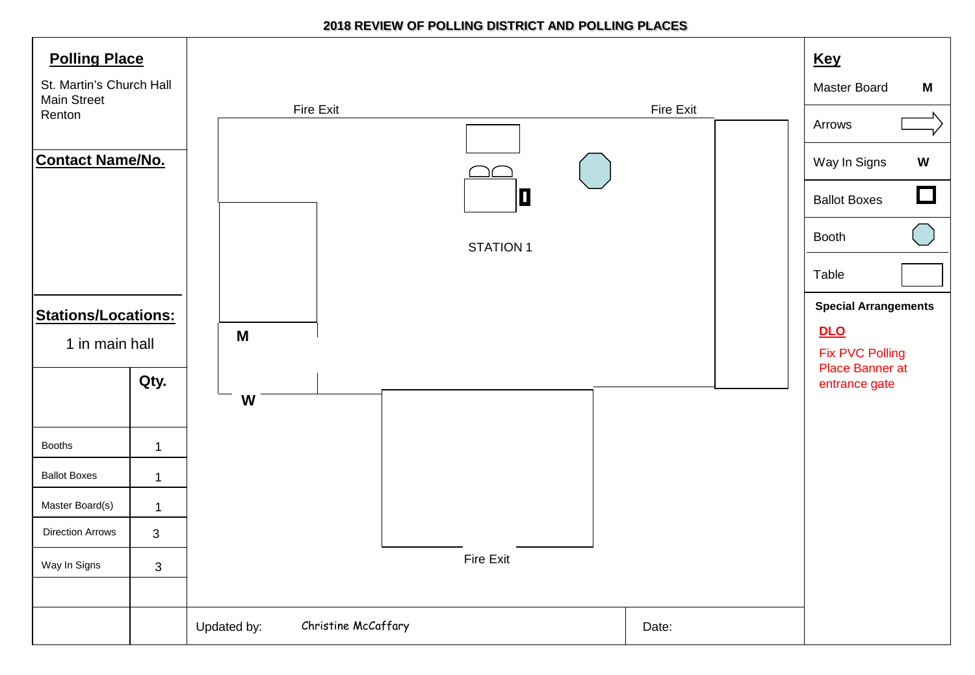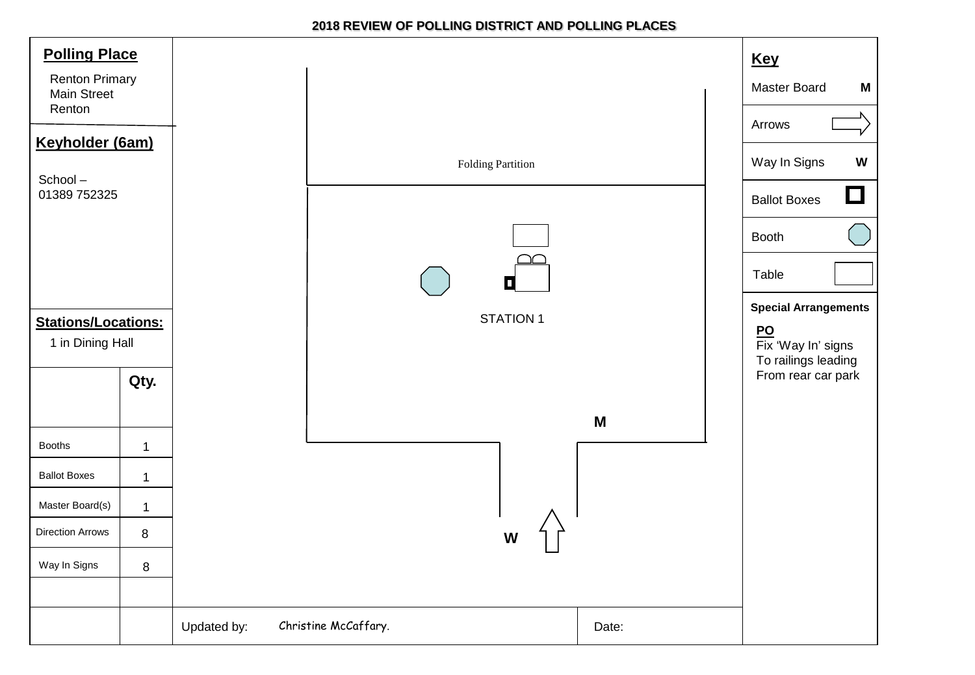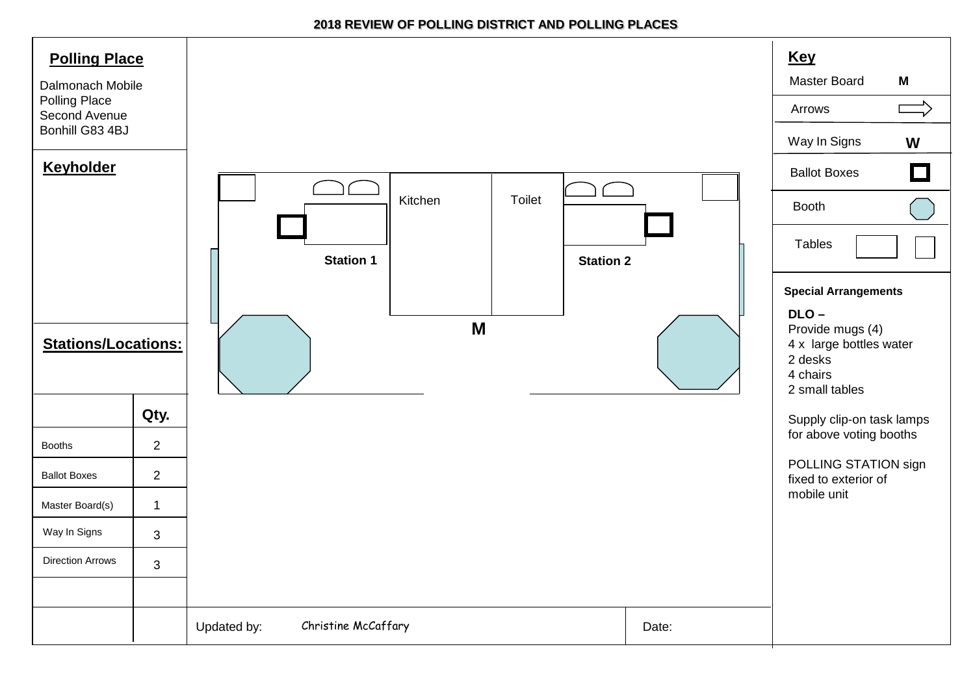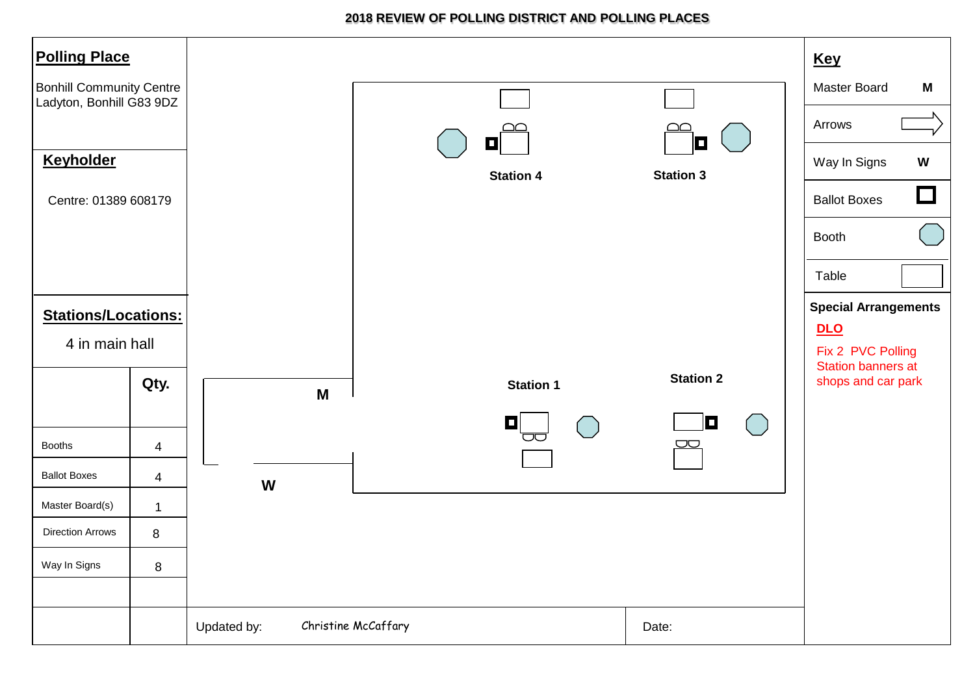| <b>Polling Place</b>                                        |                         |             |                     |                           | <b>Key</b>                                      |
|-------------------------------------------------------------|-------------------------|-------------|---------------------|---------------------------|-------------------------------------------------|
| <b>Bonhill Community Centre</b><br>Ladyton, Bonhill G83 9DZ |                         |             |                     |                           | Master Board<br>M                               |
|                                                             |                         |             | <u>ഥ</u><br>$\Box$  | O.                        | Arrows                                          |
| <b>Keyholder</b>                                            |                         |             | <b>Station 4</b>    | <b>Station 3</b>          | $\boldsymbol{\mathsf{W}}$<br>Way In Signs       |
| Centre: 01389 608179                                        |                         |             |                     |                           | $\Box$<br><b>Ballot Boxes</b>                   |
|                                                             |                         |             |                     |                           | <b>Booth</b>                                    |
|                                                             |                         |             |                     |                           | Table                                           |
| <b>Stations/Locations:</b>                                  |                         |             |                     |                           | <b>Special Arrangements</b>                     |
| 4 in main hall                                              |                         |             |                     |                           | <b>DLO</b><br>Fix 2 PVC Polling                 |
|                                                             | Qty.                    | M           | <b>Station 1</b>    | <b>Station 2</b>          | <b>Station banners at</b><br>shops and car park |
|                                                             |                         |             | $\Box$              | O<br>$(\Box)$             |                                                 |
| <b>Booths</b>                                               | 4                       |             |                     | $\overline{\smash{\cup}}$ |                                                 |
| <b>Ballot Boxes</b>                                         | $\overline{\mathbf{4}}$ | W           |                     |                           |                                                 |
| Master Board(s)                                             | $\mathbf{1}$            |             |                     |                           |                                                 |
| <b>Direction Arrows</b>                                     | 8                       |             |                     |                           |                                                 |
| Way In Signs                                                | $\bf 8$                 |             |                     |                           |                                                 |
|                                                             |                         | Updated by: | Christine McCaffary | Date:                     |                                                 |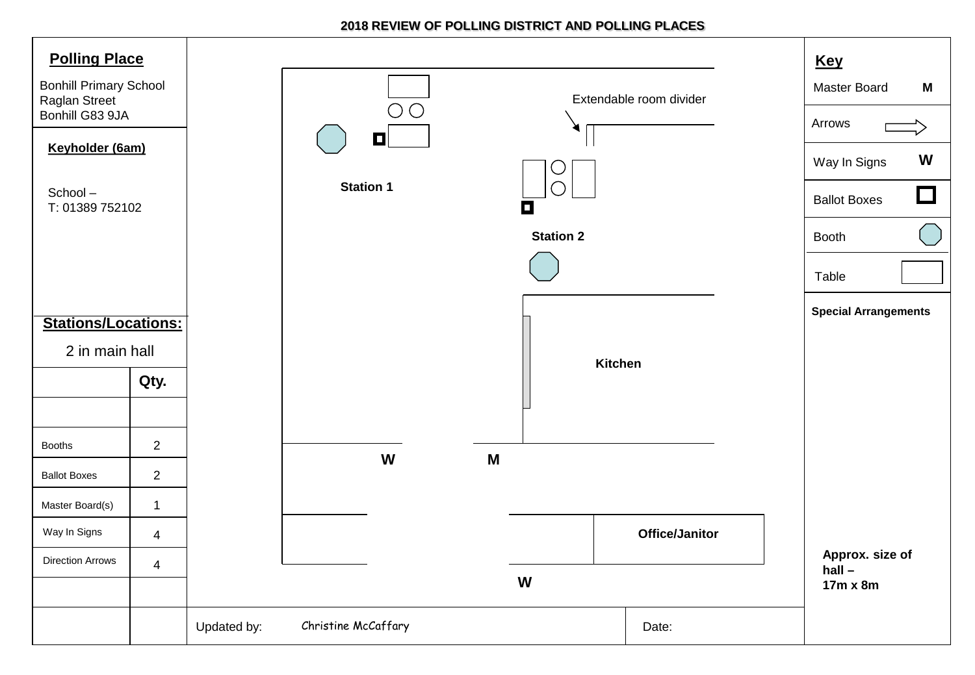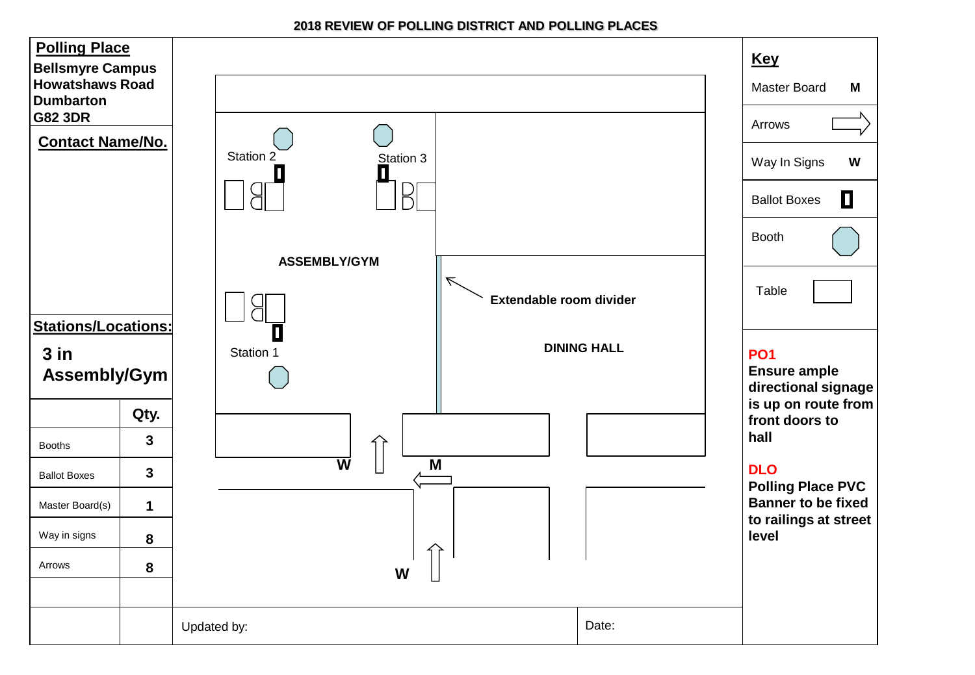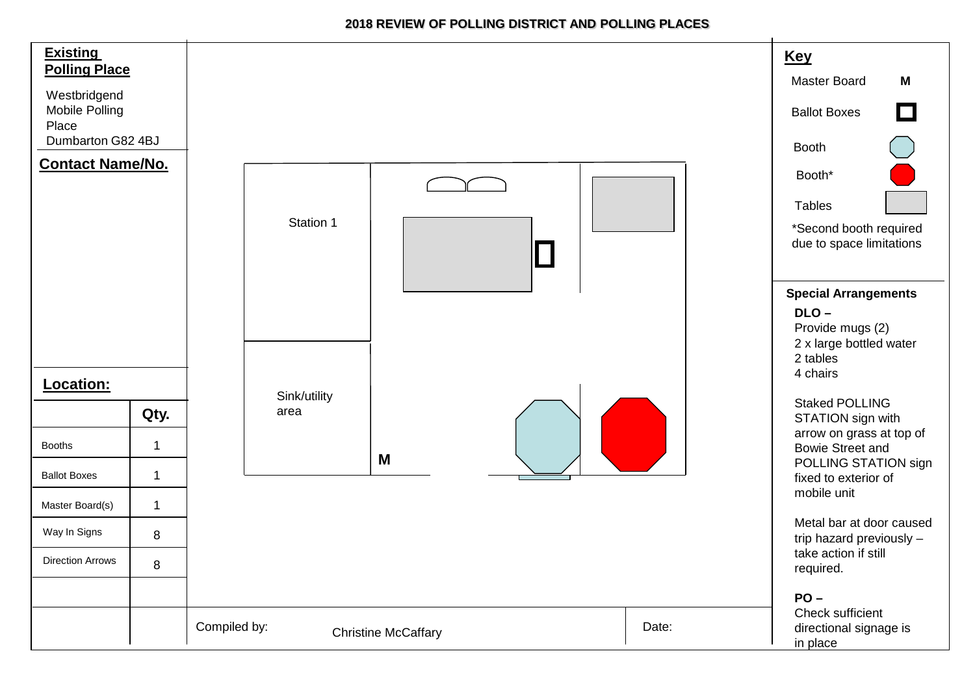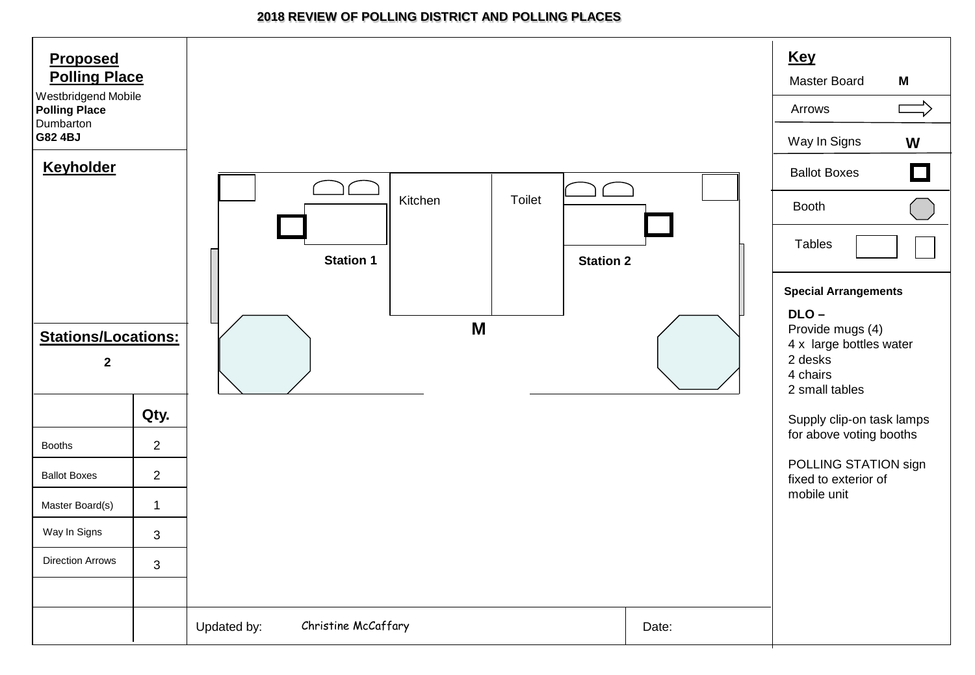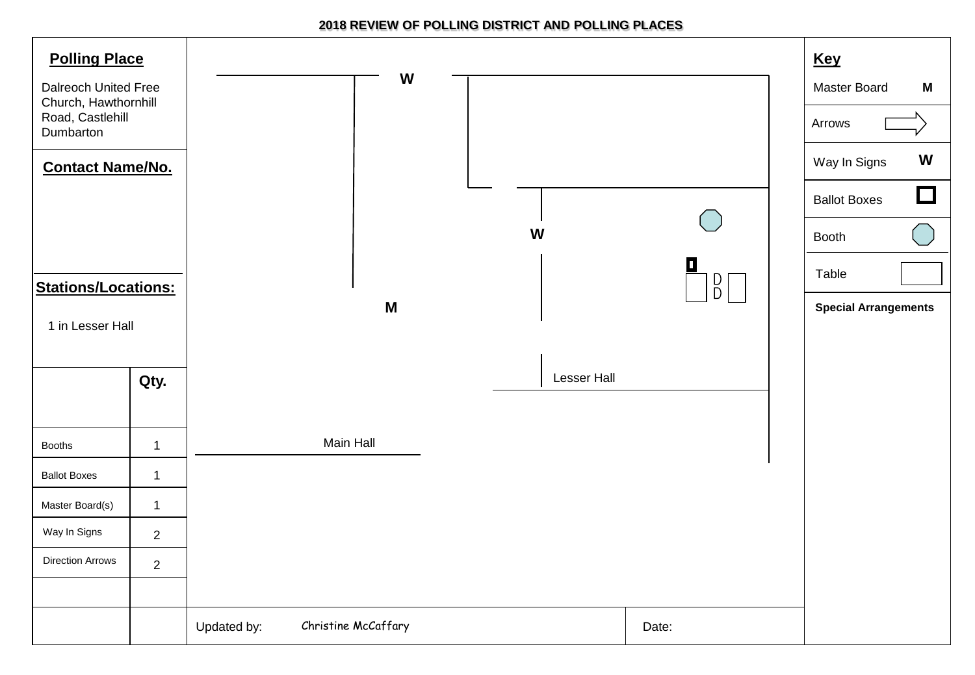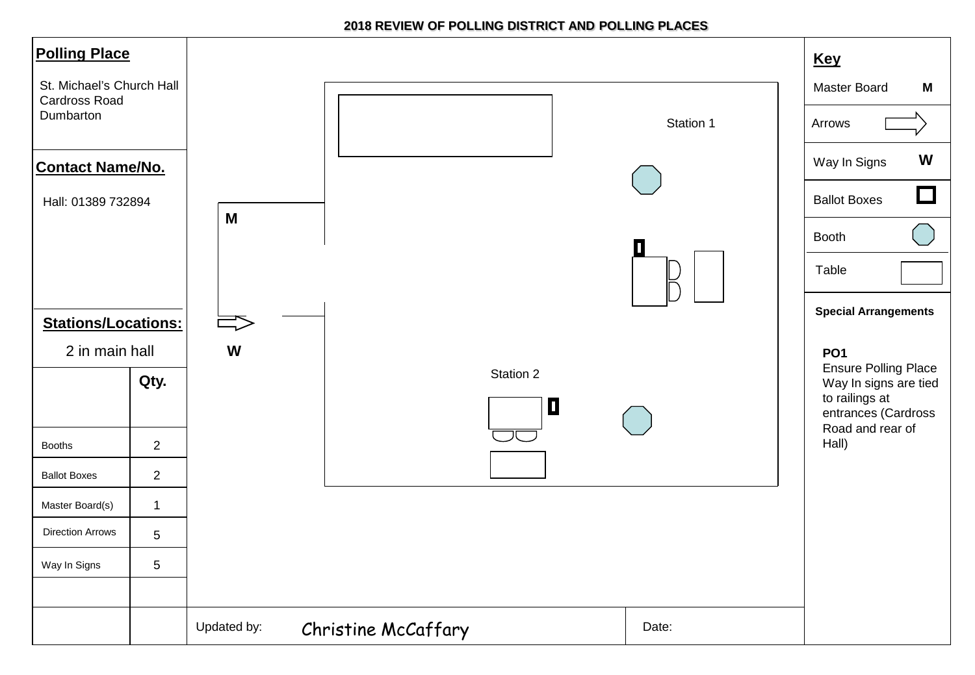| <b>Polling Place</b>                                           |                |             |                     |           | <b>Key</b>                                                                                    |
|----------------------------------------------------------------|----------------|-------------|---------------------|-----------|-----------------------------------------------------------------------------------------------|
| St. Michael's Church Hall<br><b>Cardross Road</b><br>Dumbarton |                |             |                     | Station 1 | <b>Master Board</b><br>M<br>Arrows                                                            |
| <b>Contact Name/No.</b>                                        |                |             |                     |           | W<br>Way In Signs<br>$\Box$                                                                   |
| Hall: 01389 732894<br><b>Stations/Locations:</b>               |                | M           |                     |           | <b>Ballot Boxes</b><br><b>Booth</b><br>Table<br><b>Special Arrangements</b>                   |
|                                                                | 2 in main hall |             |                     |           | PO <sub>1</sub>                                                                               |
|                                                                | Qty.           |             | Station 2<br>$\Box$ |           | <b>Ensure Polling Place</b><br>Way In signs are tied<br>to railings at<br>entrances (Cardross |
| <b>Booths</b>                                                  | $\overline{2}$ |             |                     |           | Road and rear of<br>Hall)                                                                     |
| <b>Ballot Boxes</b>                                            | $\overline{a}$ |             |                     |           |                                                                                               |
| Master Board(s)                                                | $\mathbf{1}$   |             |                     |           |                                                                                               |
| <b>Direction Arrows</b>                                        | 5              |             |                     |           |                                                                                               |
| Way In Signs                                                   | 5              |             |                     |           |                                                                                               |
|                                                                |                | Updated by: | Christine McCaffary | Date:     |                                                                                               |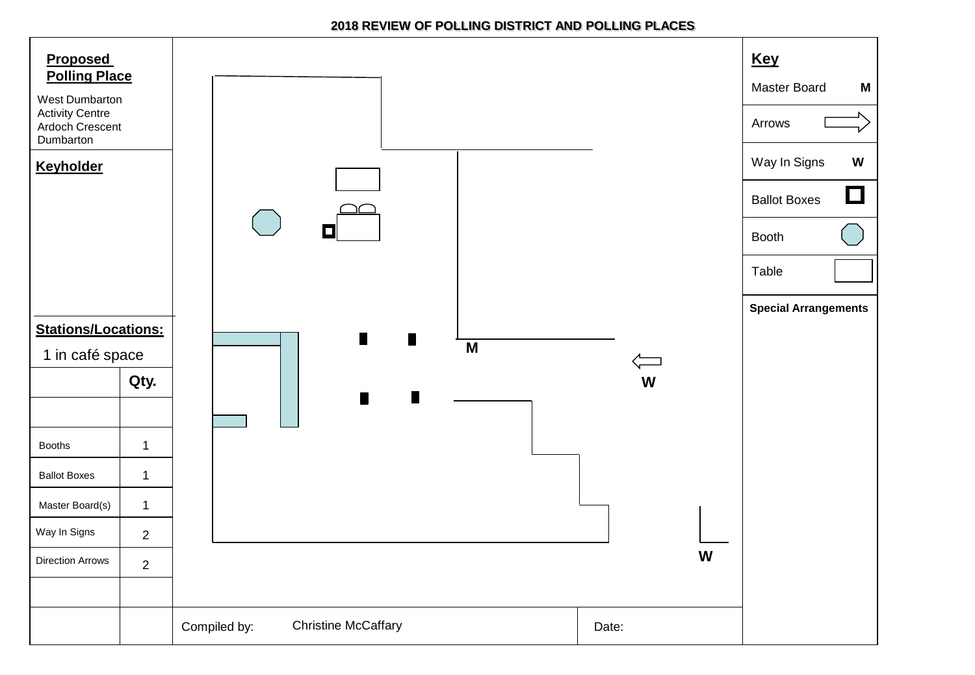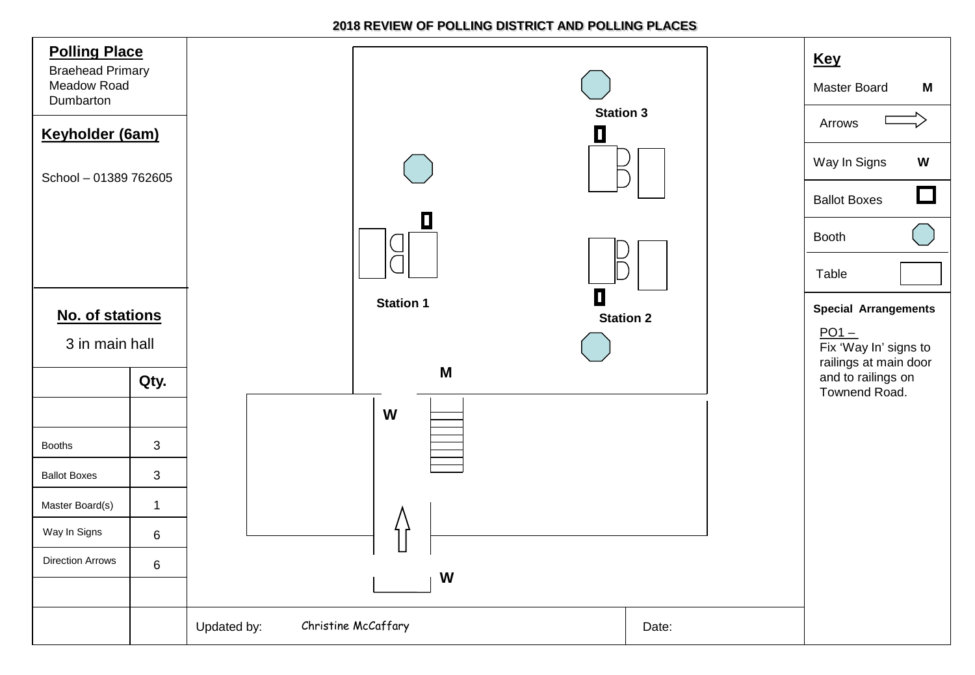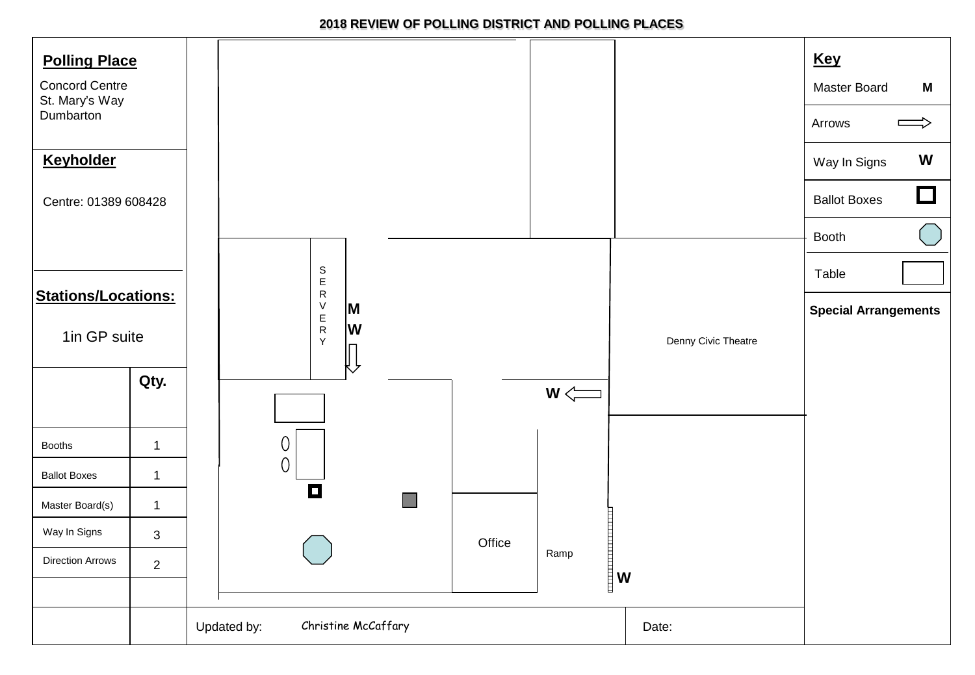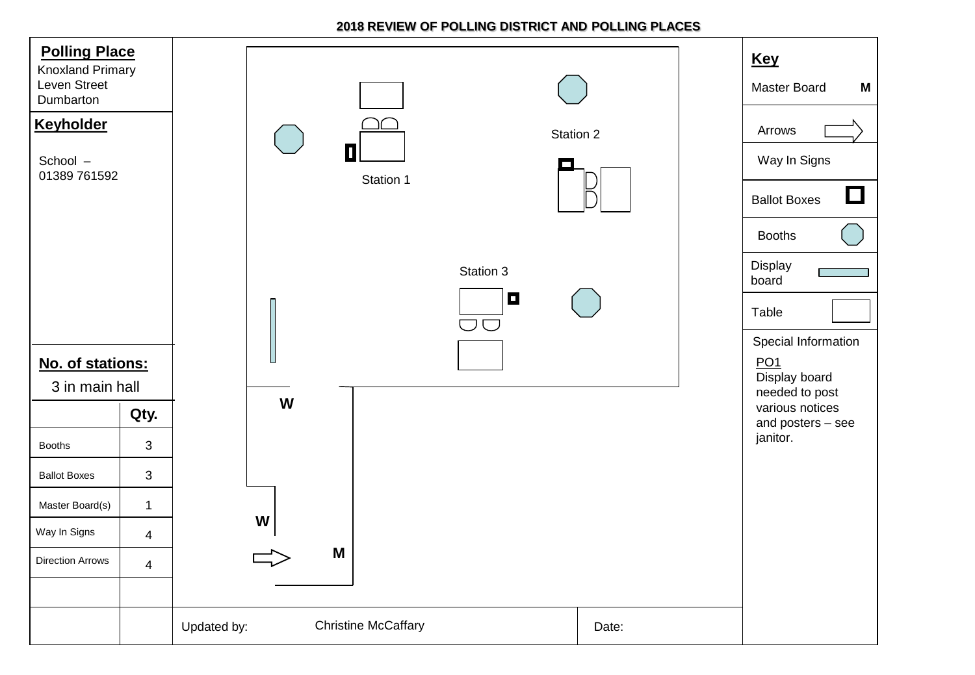| <b>Polling Place</b><br><b>Knoxland Primary</b><br>Leven Street<br>Dumbarton<br><b>Keyholder</b><br>School -<br>01389 761592 |                | Station 2<br>O<br>Station 1<br>Station 3<br>$\blacksquare$ |       | <b>Key</b><br>Master Board<br>M<br>Arrows<br>Way In Signs<br>$\Box$<br><b>Ballot Boxes</b><br><b>Booths</b><br>Display<br>board |
|------------------------------------------------------------------------------------------------------------------------------|----------------|------------------------------------------------------------|-------|---------------------------------------------------------------------------------------------------------------------------------|
| No. of stations:<br>3 in main hall                                                                                           |                | JO<br>W                                                    |       | Table<br>Special Information<br>PO1<br>Display board<br>needed to post                                                          |
|                                                                                                                              | Qty.           |                                                            |       | various notices<br>and posters - see                                                                                            |
| <b>Booths</b>                                                                                                                | $\mathbf{3}$   |                                                            |       | janitor.                                                                                                                        |
| <b>Ballot Boxes</b>                                                                                                          | $\mathfrak{S}$ |                                                            |       |                                                                                                                                 |
| Master Board(s)                                                                                                              | $\mathbf{1}$   |                                                            |       |                                                                                                                                 |
| Way In Signs                                                                                                                 | $\overline{4}$ | W                                                          |       |                                                                                                                                 |
| <b>Direction Arrows</b>                                                                                                      | $\overline{4}$ | M                                                          |       |                                                                                                                                 |
|                                                                                                                              |                | <b>Christine McCaffary</b><br>Updated by:                  | Date: |                                                                                                                                 |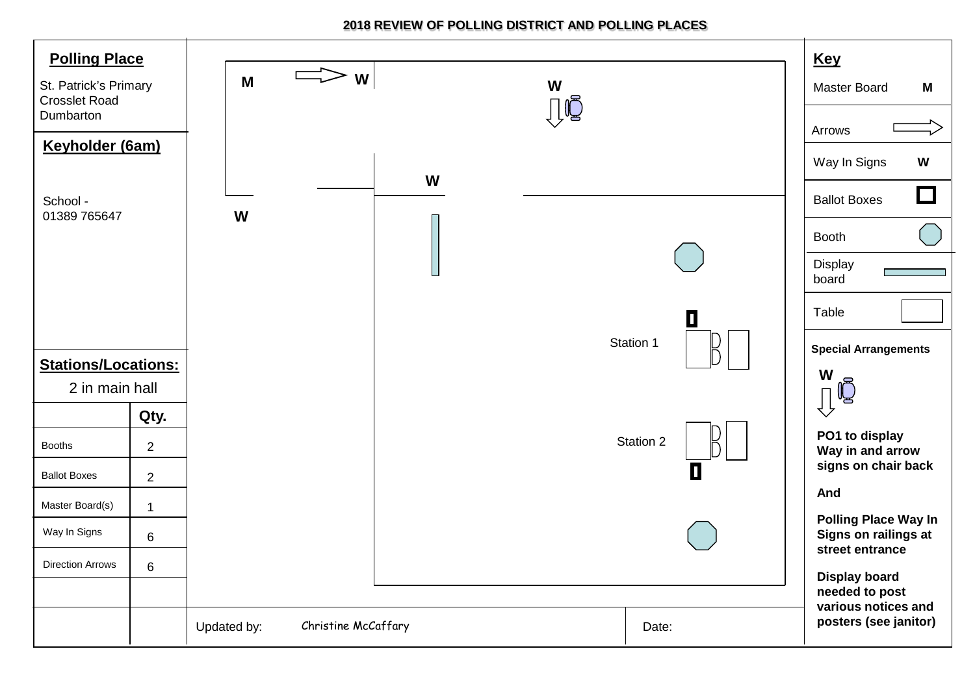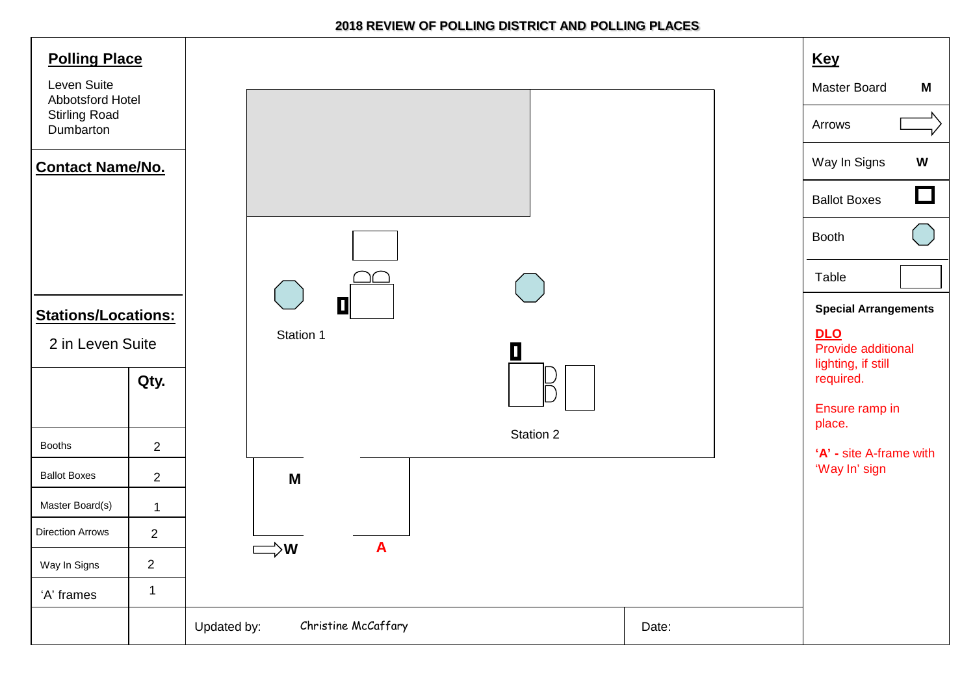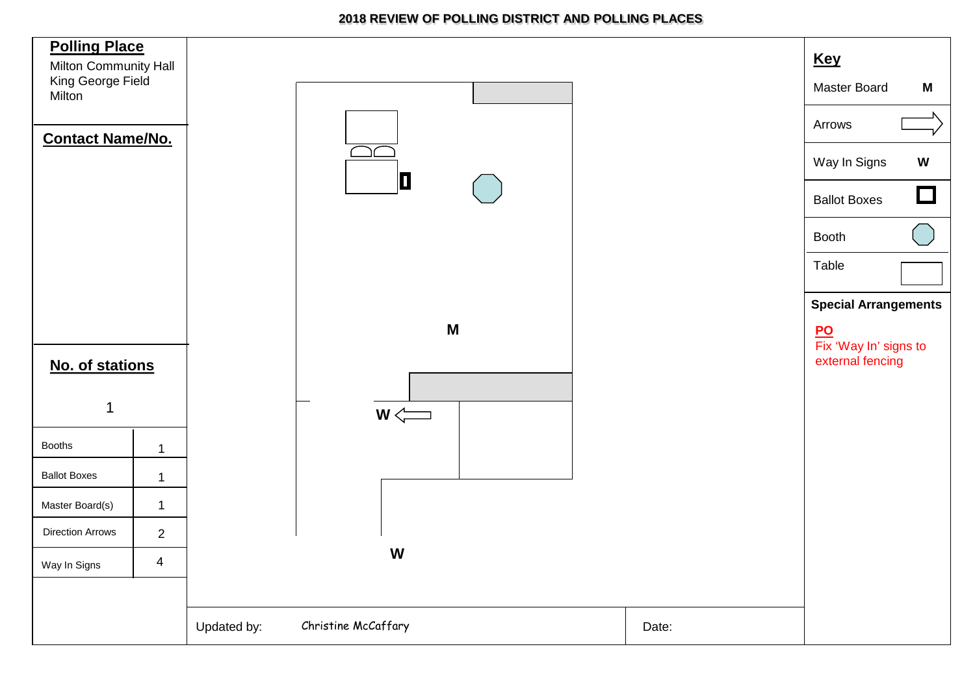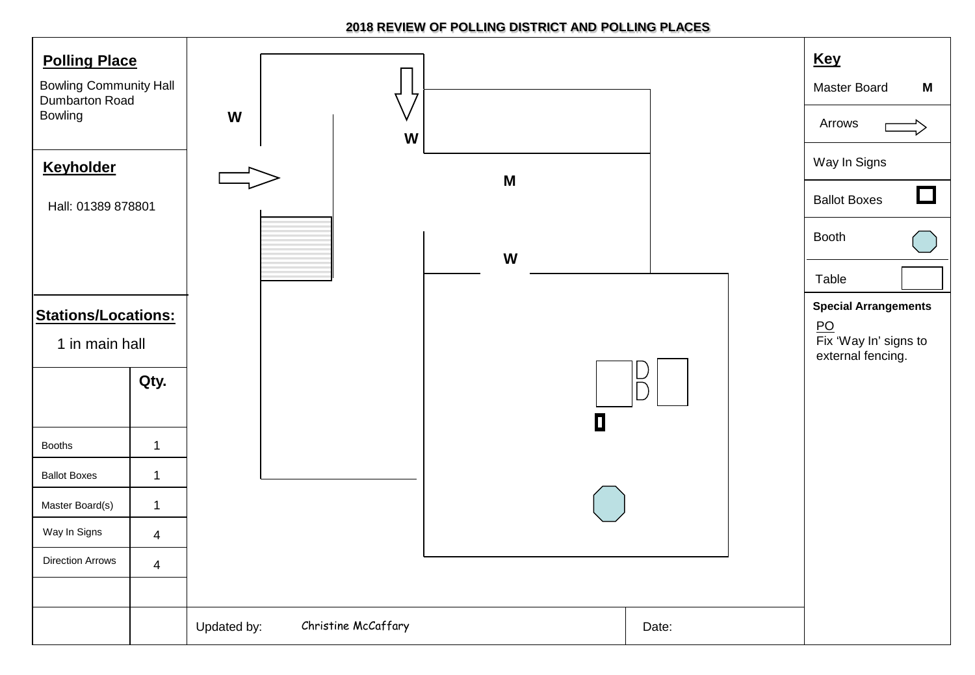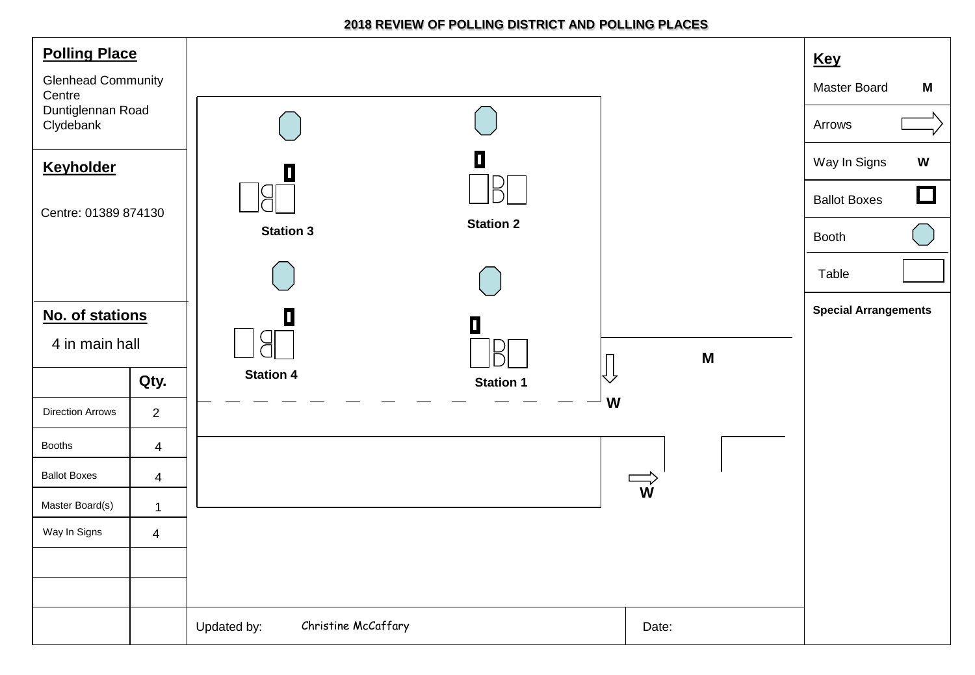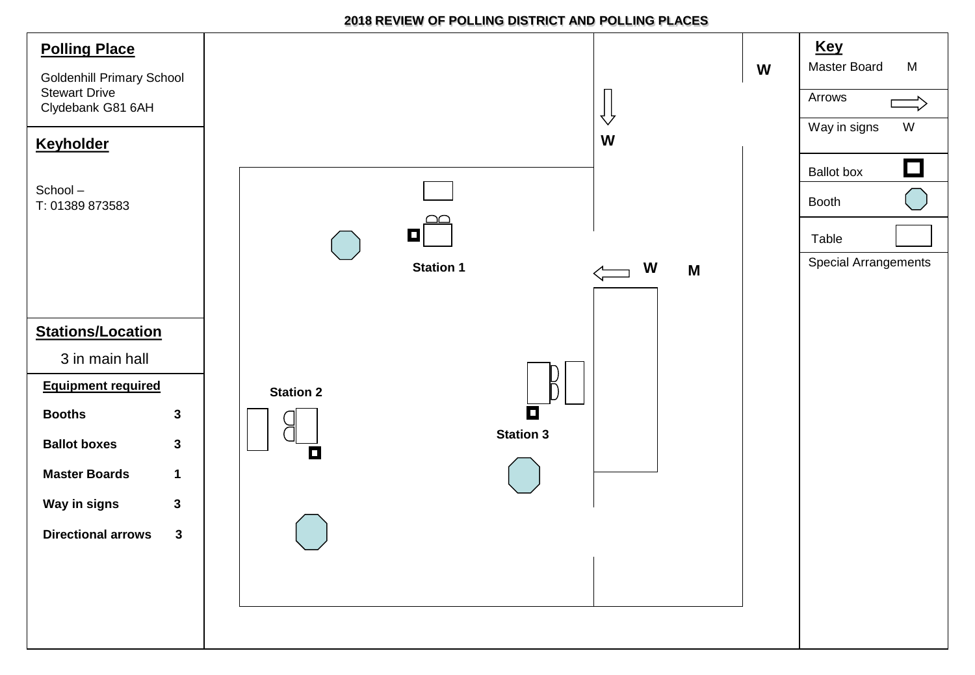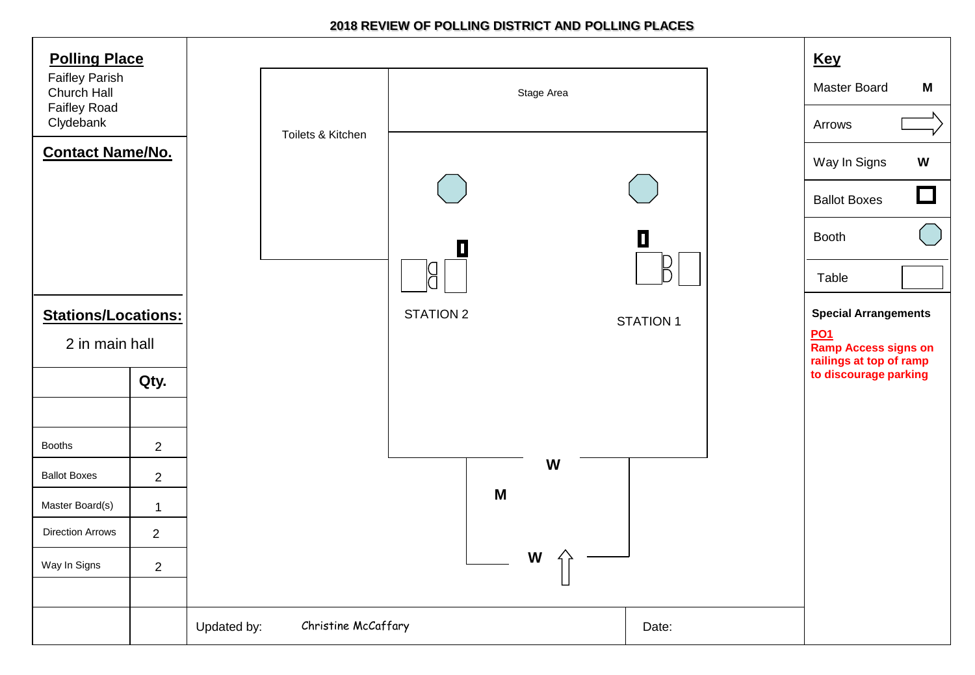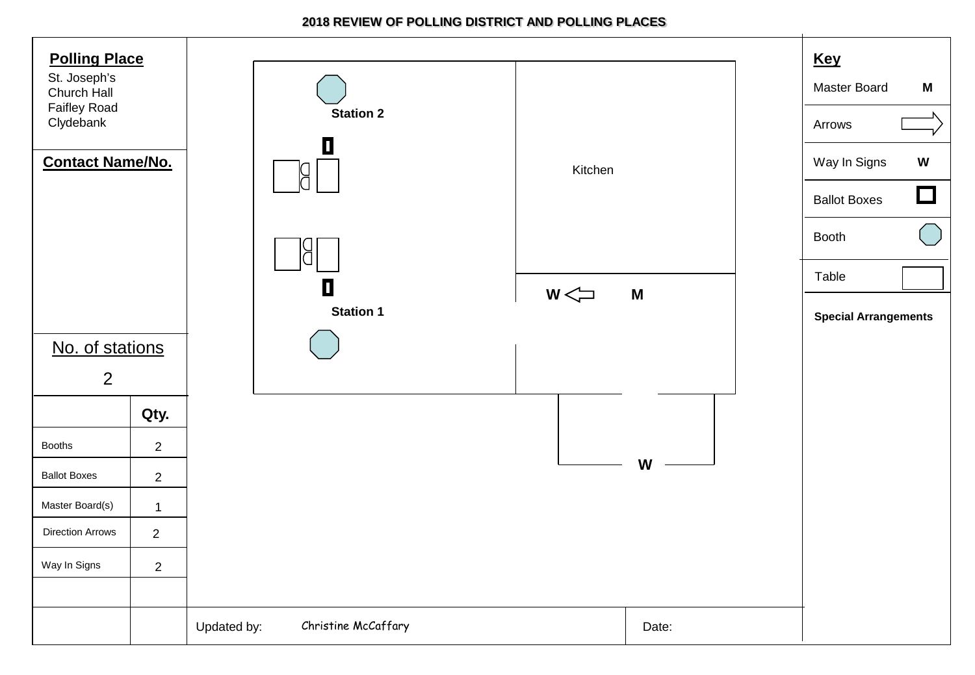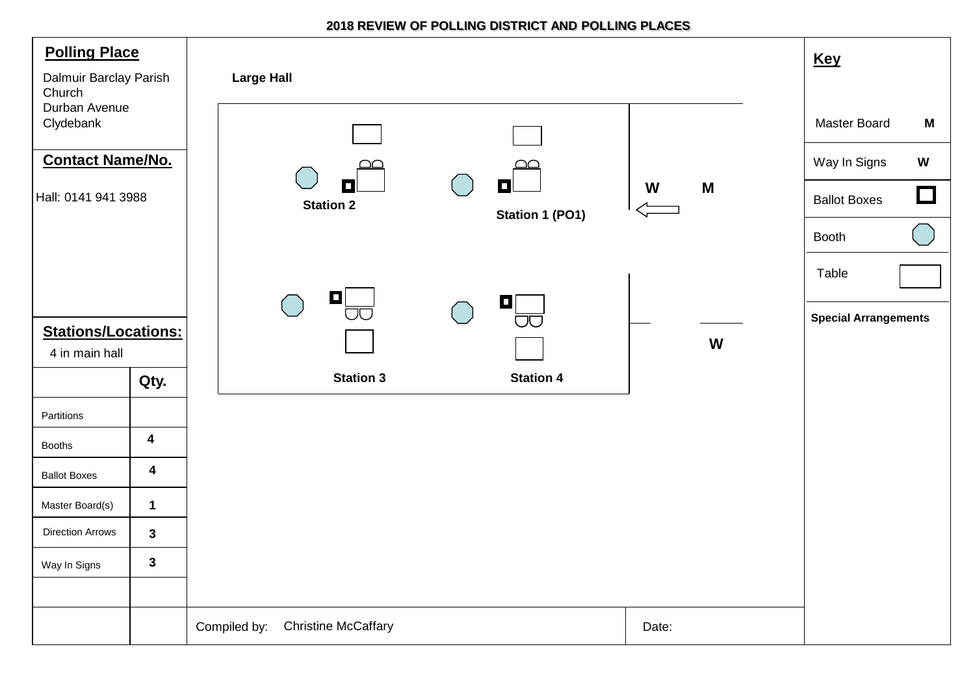| <b>Polling Place</b><br>Dalmuir Barclay Parish<br>Church |                         | <b>Large Hall</b>                                                    | <b>Key</b>                                                     |
|----------------------------------------------------------|-------------------------|----------------------------------------------------------------------|----------------------------------------------------------------|
| Durban Avenue<br>Clydebank<br><b>Contact Name/No.</b>    |                         |                                                                      | Master Board<br>M<br>Way In Signs<br>$\boldsymbol{\mathsf{W}}$ |
| Hall: 0141 941 3988                                      |                         | О<br>$\blacksquare$<br>M<br>W<br><b>Station 2</b><br>Station 1 (PO1) | $\Box$<br><b>Ballot Boxes</b><br><b>Booth</b>                  |
| <b>Stations/Locations:</b>                               |                         | П<br>О                                                               | Table<br><b>Special Arrangements</b>                           |
| 4 in main hall                                           |                         | W                                                                    |                                                                |
|                                                          | Qty.                    | <b>Station 3</b><br><b>Station 4</b>                                 |                                                                |
| Partitions                                               |                         |                                                                      |                                                                |
| <b>Booths</b>                                            | $\overline{\mathbf{4}}$ |                                                                      |                                                                |
| <b>Ballot Boxes</b>                                      | 4                       |                                                                      |                                                                |
| Master Board(s)                                          | $\mathbf 1$             |                                                                      |                                                                |
| <b>Direction Arrows</b>                                  | 3                       |                                                                      |                                                                |
| Way In Signs                                             | 3                       |                                                                      |                                                                |
|                                                          |                         | <b>Christine McCaffary</b><br>Compiled by:<br>Date:                  |                                                                |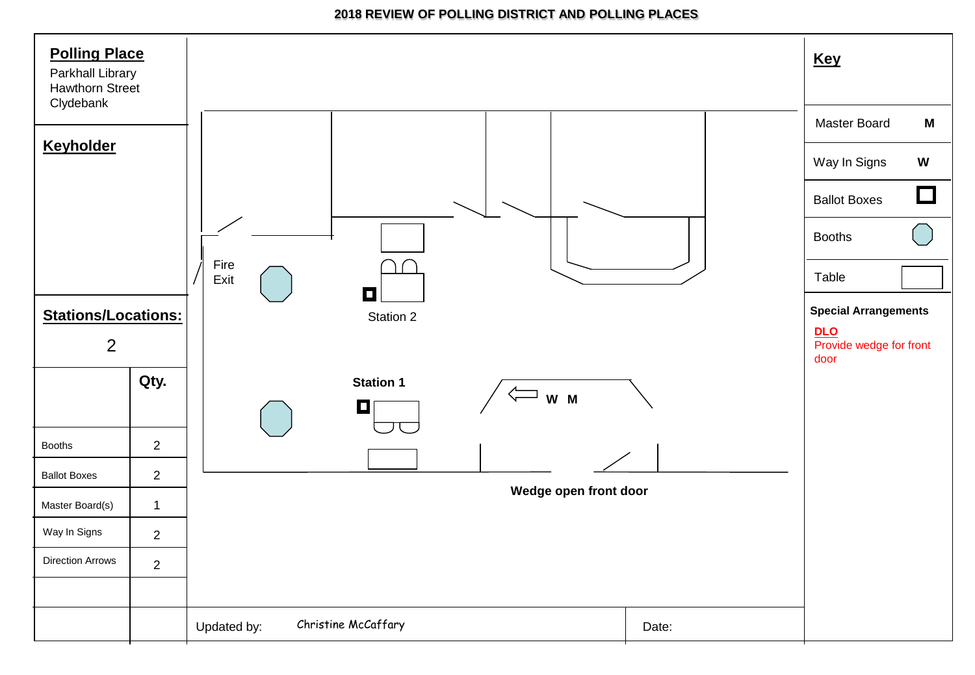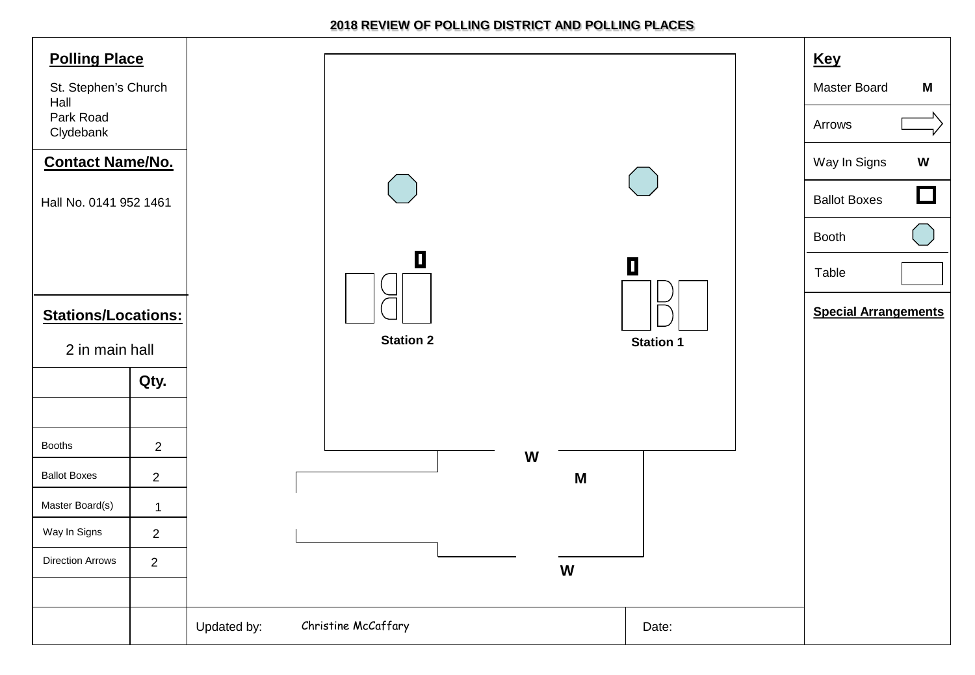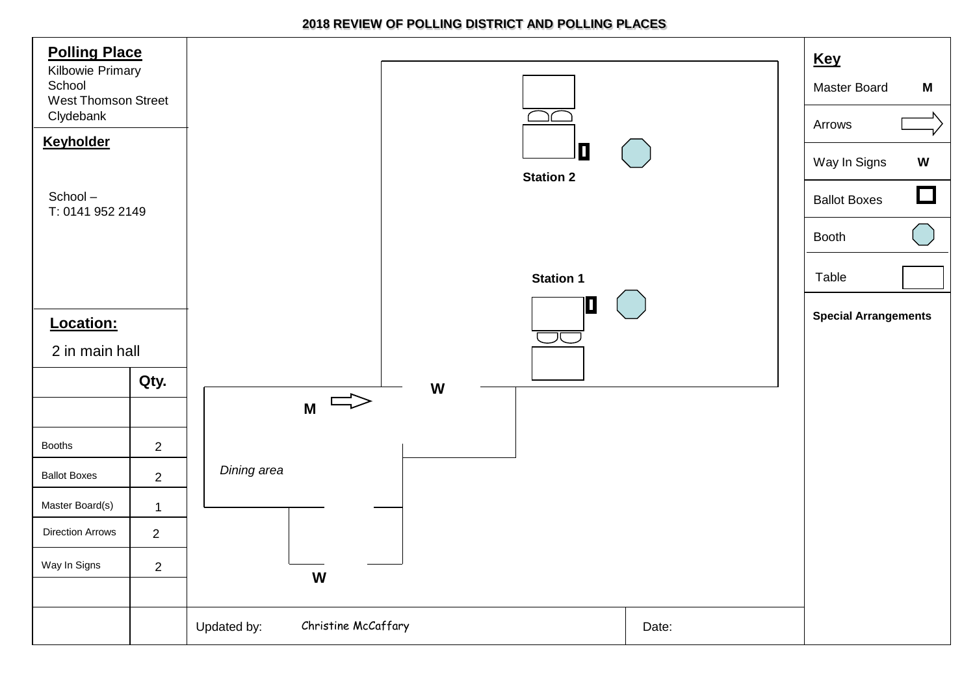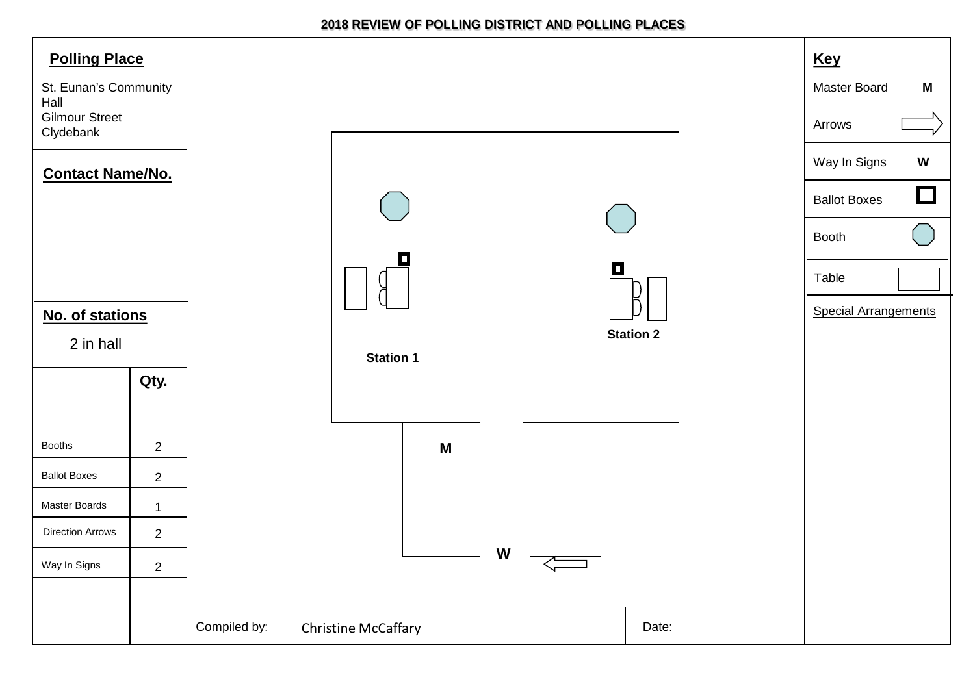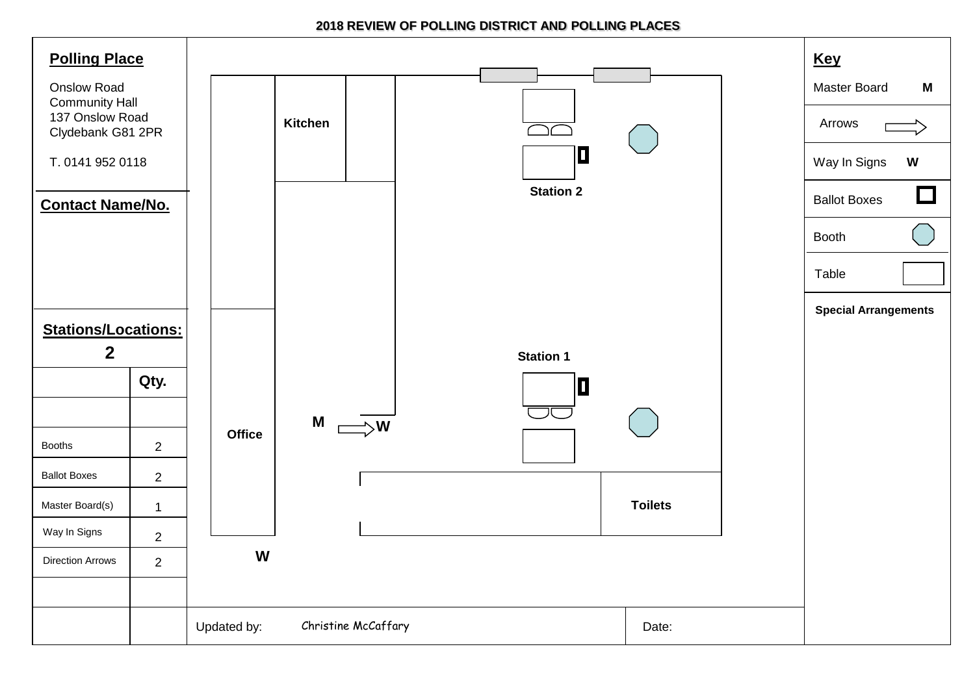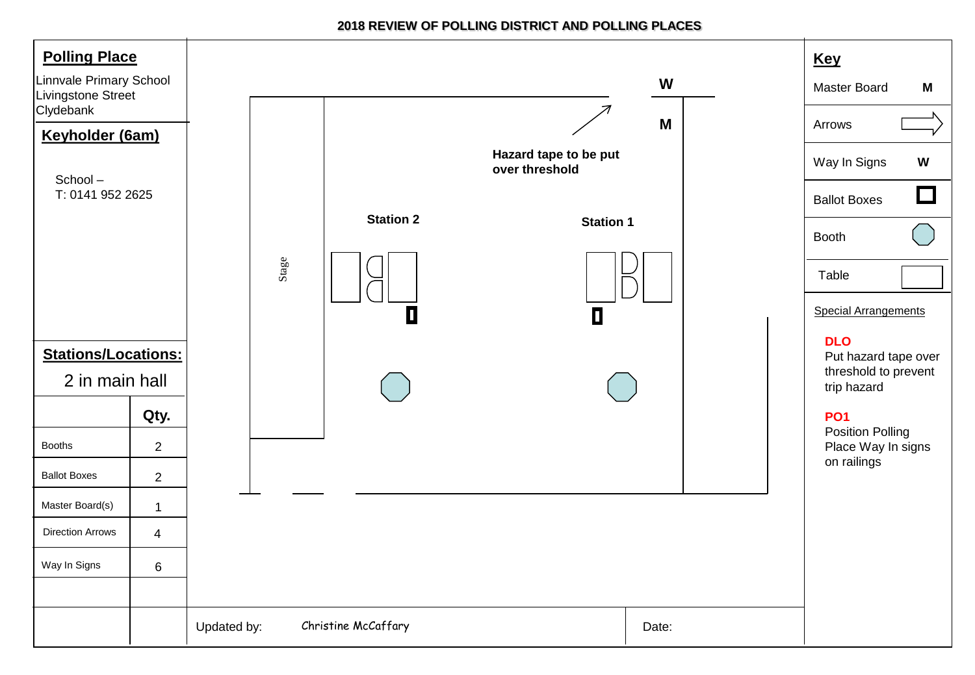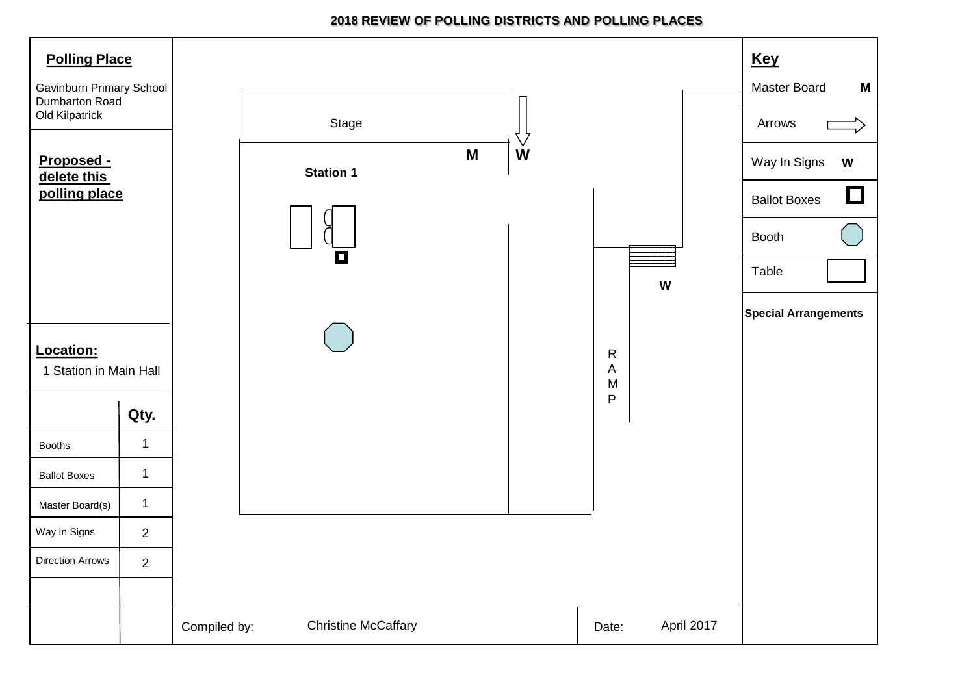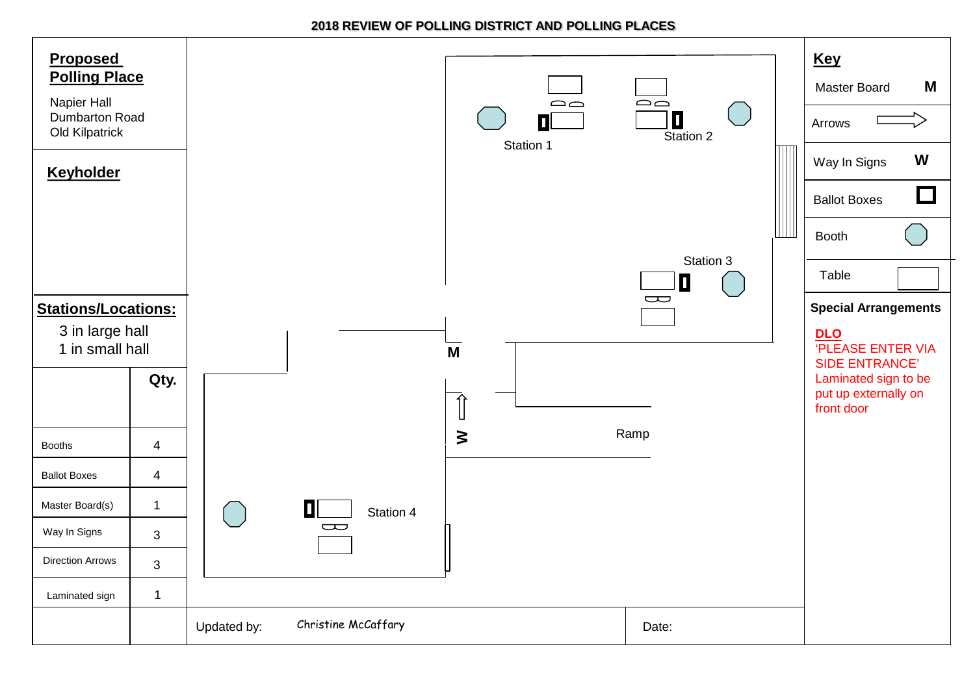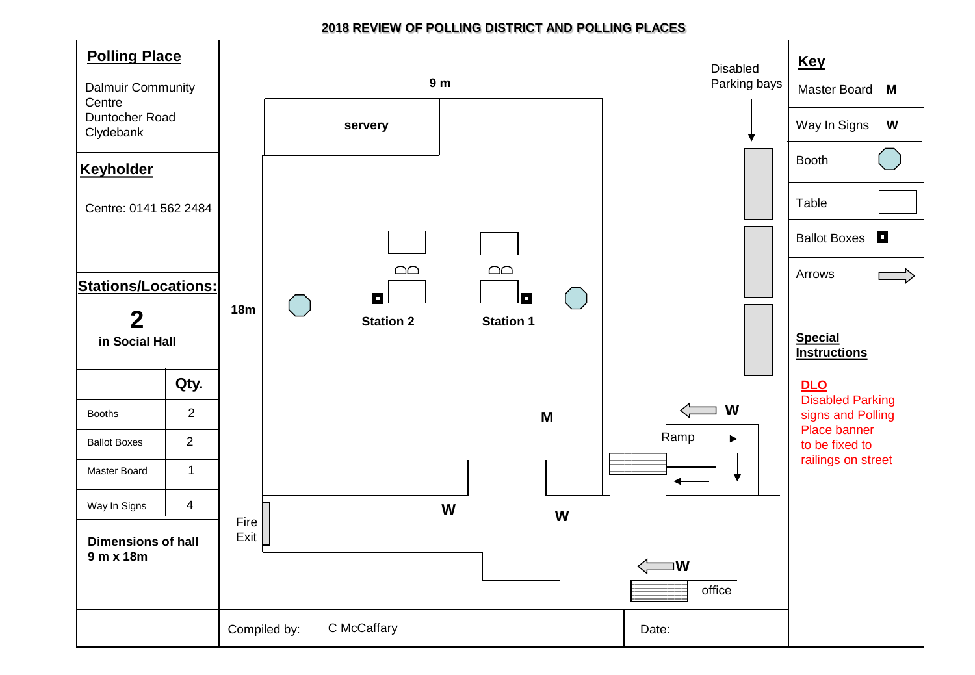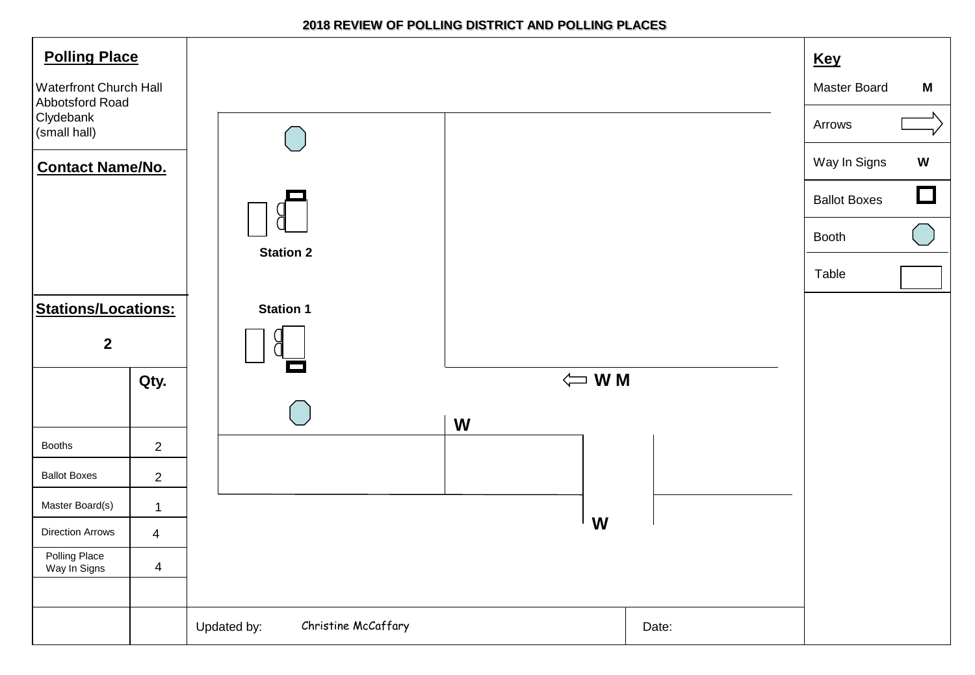